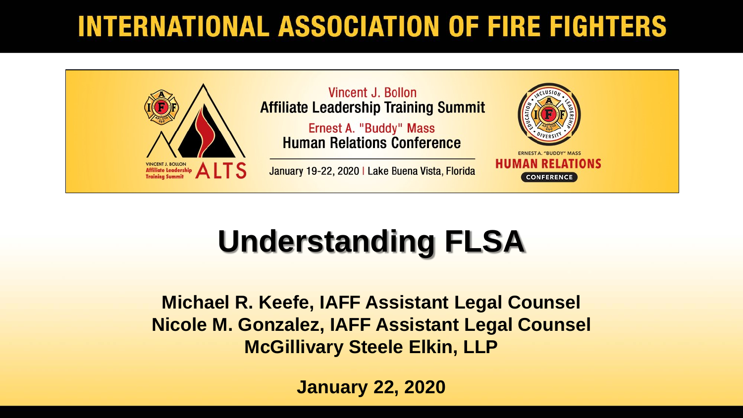#### **INTERNATIONAL ASSOCIATION OF FIRE FIGHTERS**



# **Understanding FLSA**

**Michael R. Keefe, IAFF Assistant Legal Counsel Nicole M. Gonzalez, IAFF Assistant Legal Counsel McGillivary Steele Elkin, LLP**

**January 22, 2020**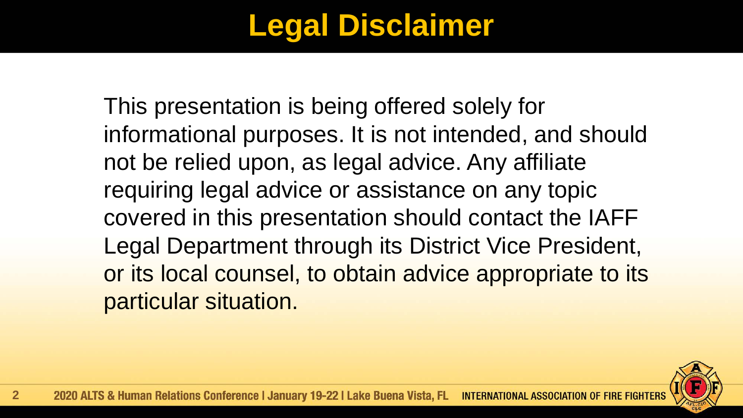## **Legal Disclaimer**

This presentation is being offered solely for informational purposes. It is not intended, and should not be relied upon, as legal advice. Any affiliate requiring legal advice or assistance on any topic covered in this presentation should contact the IAFF Legal Department through its District Vice President, or its local counsel, to obtain advice appropriate to its particular situation.

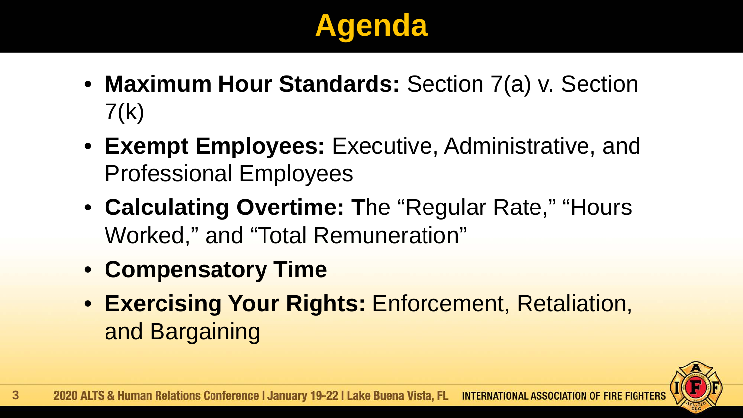# **Agenda**

- **Maximum Hour Standards:** Section 7(a) v. Section  $7(k)$
- **Exempt Employees:** Executive, Administrative, and Professional Employees
- **Calculating Overtime: T**he "Regular Rate," "Hours Worked," and "Total Remuneration"
- **Compensatory Time**
- **Exercising Your Rights:** Enforcement, Retaliation, and Bargaining

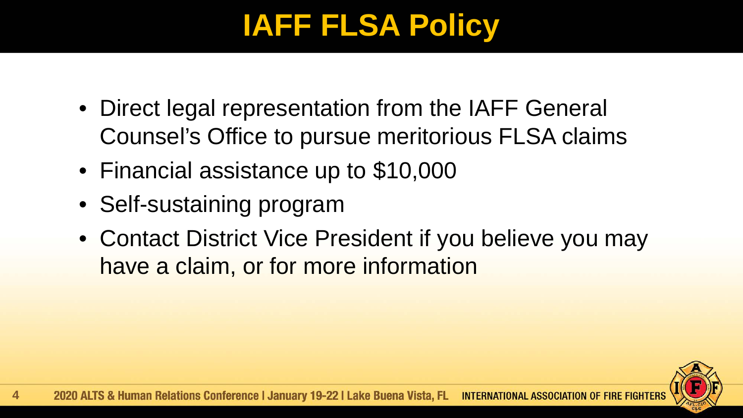### **IAFF FLSA Policy**

- Direct legal representation from the IAFF General Counsel's Office to pursue meritorious FLSA claims
- Financial assistance up to \$10,000
- Self-sustaining program
- Contact District Vice President if you believe you may have a claim, or for more information

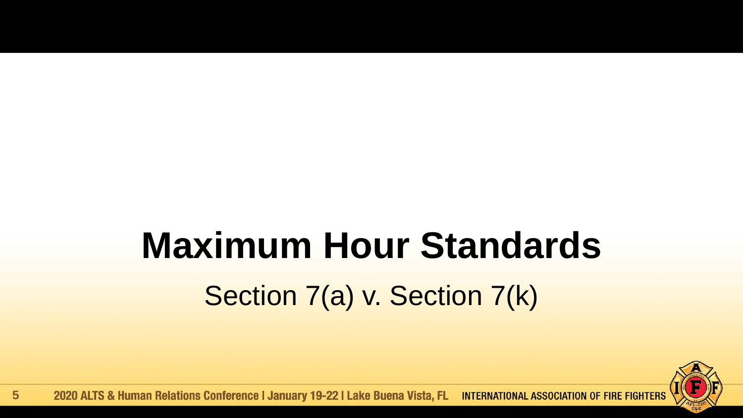# **Maximum Hour Standards** Section 7(a) v. Section 7(k)

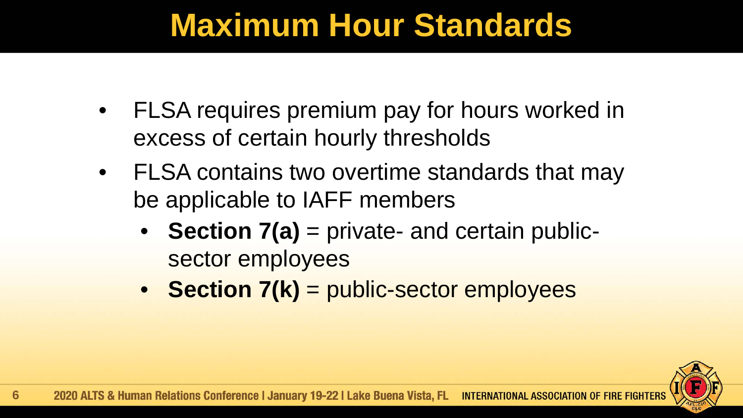- FLSA requires premium pay for hours worked in excess of certain hourly thresholds
- FLSA contains two overtime standards that may be applicable to IAFF members
	- **Section 7(a)** = private- and certain publicsector employees
	- **Section 7(k)** = public-sector employees

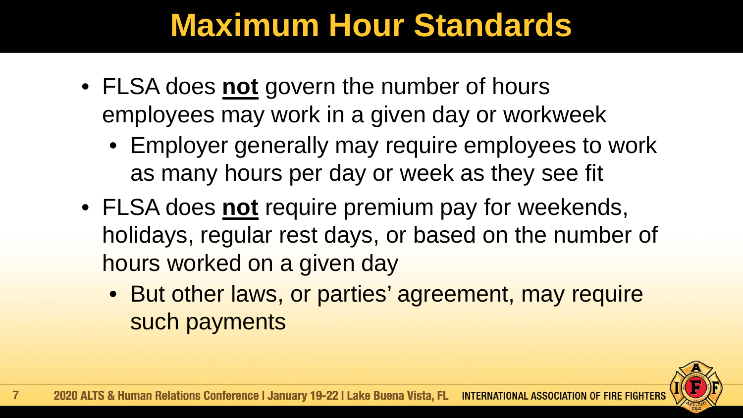- FLSA does **not** govern the number of hours employees may work in a given day or workweek
	- Employer generally may require employees to work as many hours per day or week as they see fit
- FLSA does **not** require premium pay for weekends, holidays, regular rest days, or based on the number of hours worked on a given day
	- But other laws, or parties' agreement, may require such payments

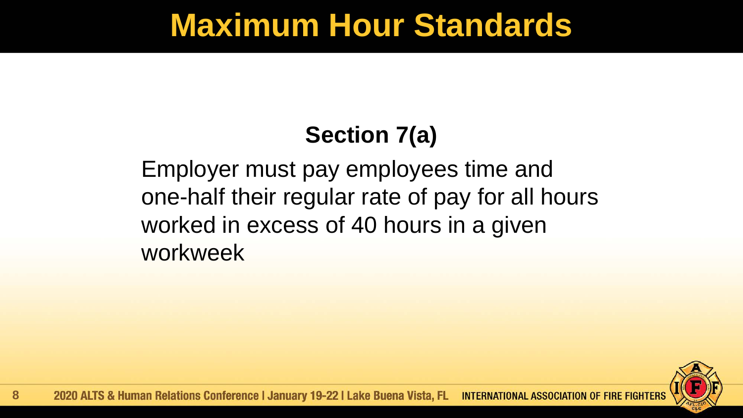#### **Section 7(a)**

Employer must pay employees time and one-half their regular rate of pay for all hours worked in excess of 40 hours in a given workweek

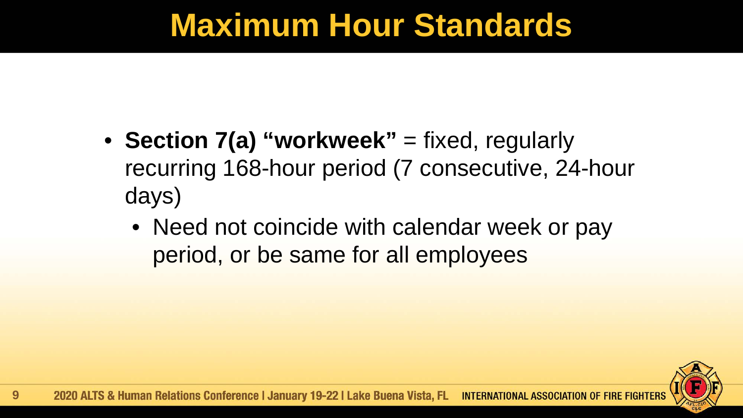- **Section 7(a) "workweek"** = fixed, regularly recurring 168-hour period (7 consecutive, 24-hour days)
	- Need not coincide with calendar week or pay period, or be same for all employees

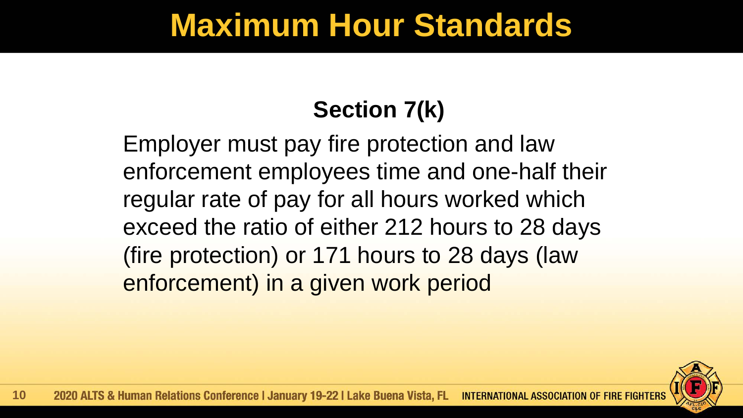#### **Section 7(k)**

Employer must pay fire protection and law enforcement employees time and one-half their regular rate of pay for all hours worked which exceed the ratio of either 212 hours to 28 days (fire protection) or 171 hours to 28 days (law enforcement) in a given work period

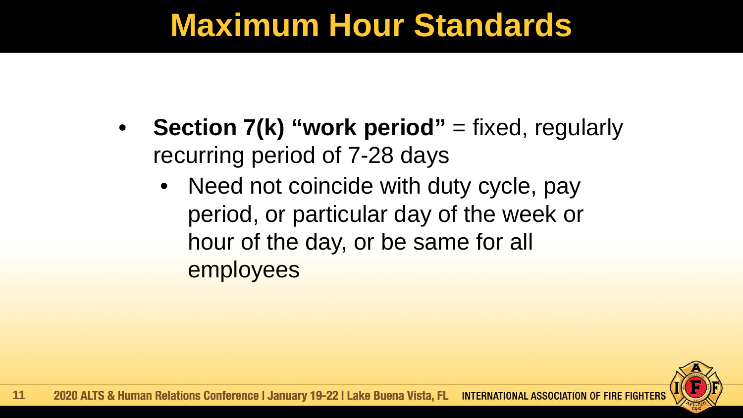- **Section 7(k) "work period"** = fixed, regularly recurring period of 7-28 days
	- Need not coincide with duty cycle, pay period, or particular day of the week or hour of the day, or be same for all employees

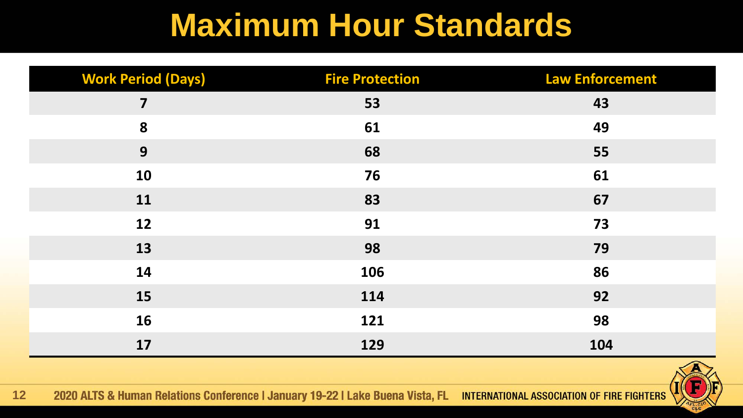| <b>Work Period (Days)</b> | <b>Fire Protection</b> | <b>Law Enforcement</b> |
|---------------------------|------------------------|------------------------|
| 7                         | 53                     | 43                     |
| 8                         | 61                     | 49                     |
| 9                         | 68                     | 55                     |
| 10                        | 76                     | 61                     |
| 11                        | 83                     | 67                     |
| 12                        | 91                     | 73                     |
| 13                        | 98                     | 79                     |
| 14                        | 106                    | 86                     |
| 15                        | 114                    | 92                     |
| 16                        | 121                    | 98                     |
| 17                        | 129                    | 104                    |

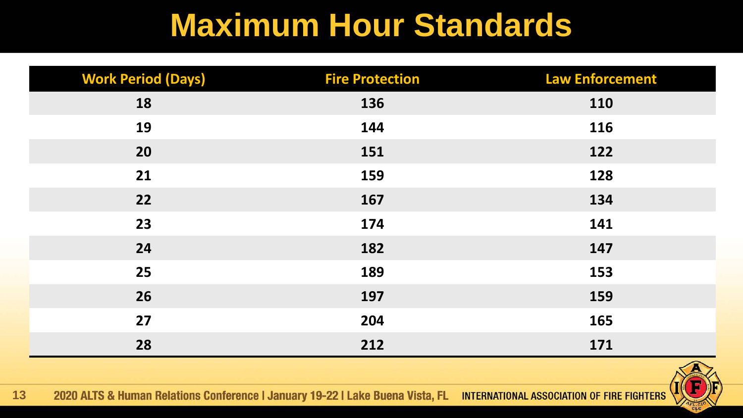| <b>Work Period (Days)</b> | <b>Fire Protection</b> | <b>Law Enforcement</b> |
|---------------------------|------------------------|------------------------|
| 18                        | 136                    | <b>110</b>             |
| 19                        | 144                    | 116                    |
| 20                        | 151                    | 122                    |
| 21                        | 159                    | 128                    |
| 22                        | 167                    | 134                    |
| 23                        | 174                    | 141                    |
| 24                        | 182                    | 147                    |
| 25                        | 189                    | 153                    |
| 26                        | 197                    | 159                    |
| 27                        | 204                    | 165                    |
| 28                        | 212                    | 171                    |

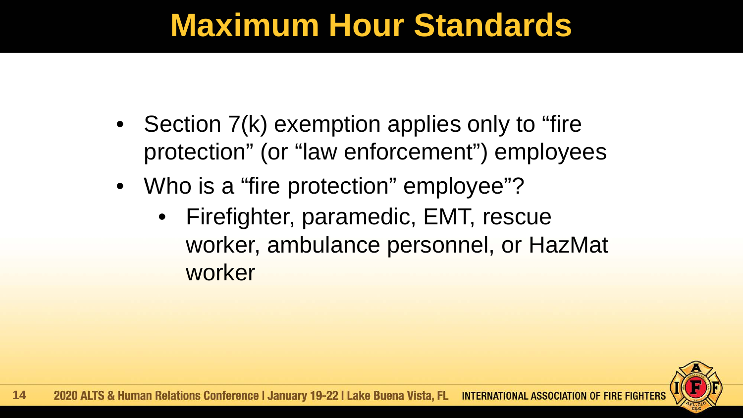- Section 7(k) exemption applies only to "fire protection" (or "law enforcement") employees
- Who is a "fire protection" employee"?
	- Firefighter, paramedic, EMT, rescue worker, ambulance personnel, or HazMat worker

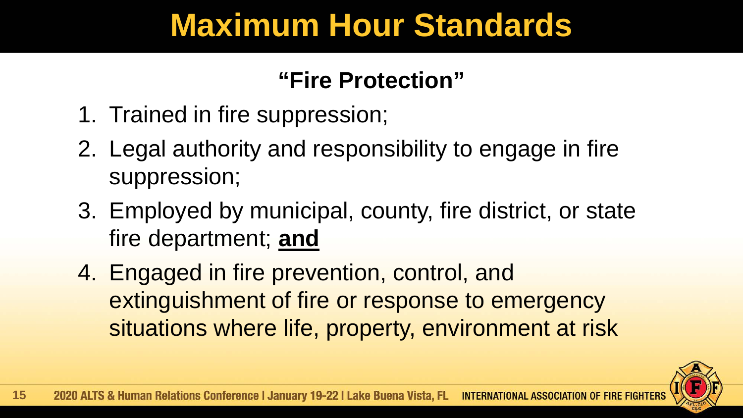#### **"Fire Protection"**

- 1. Trained in fire suppression;
- 2. Legal authority and responsibility to engage in fire suppression;
- 3. Employed by municipal, county, fire district, or state fire department; **and**
- 4. Engaged in fire prevention, control, and extinguishment of fire or response to emergency situations where life, property, environment at risk

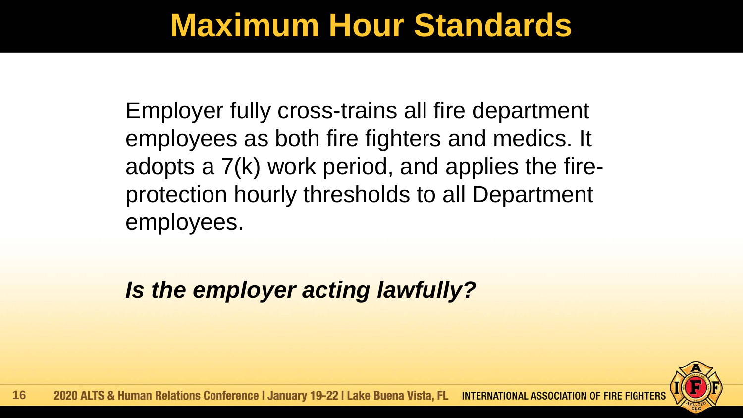Employer fully cross-trains all fire department employees as both fire fighters and medics. It adopts a 7(k) work period, and applies the fireprotection hourly thresholds to all Department employees.

*Is the employer acting lawfully?*

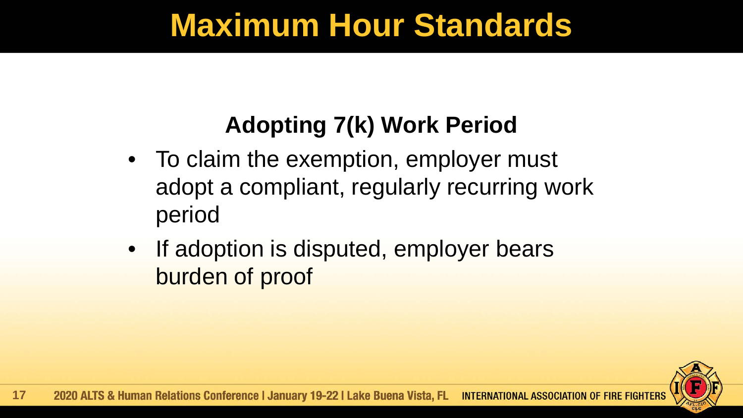#### **Adopting 7(k) Work Period**

- To claim the exemption, employer must adopt a compliant, regularly recurring work period
- If adoption is disputed, employer bears burden of proof

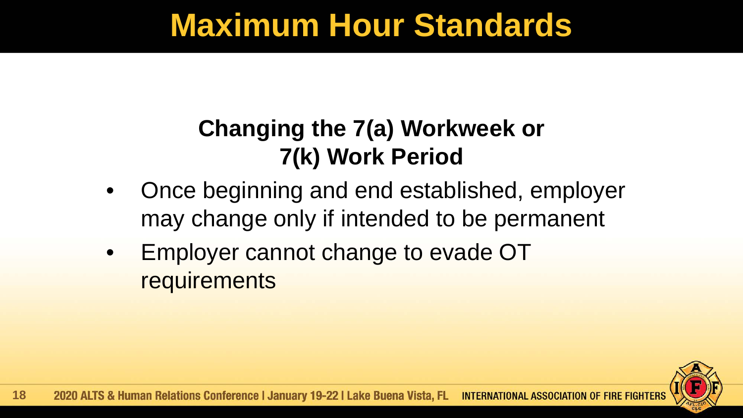#### **Changing the 7(a) Workweek or 7(k) Work Period**

- Once beginning and end established, employer may change only if intended to be permanent
- Employer cannot change to evade OT **requirements**

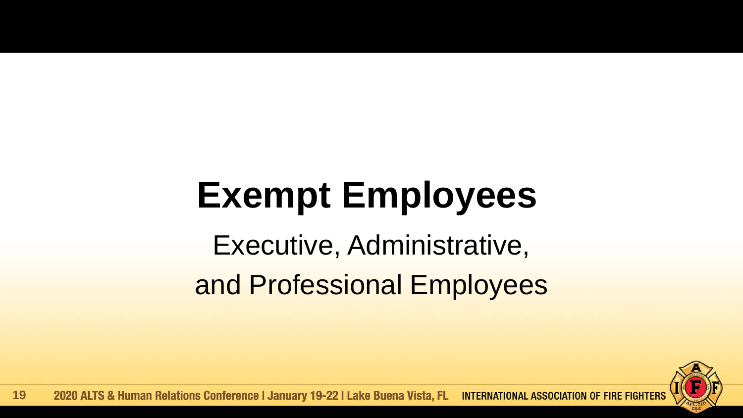Executive, Administrative, and Professional Employees

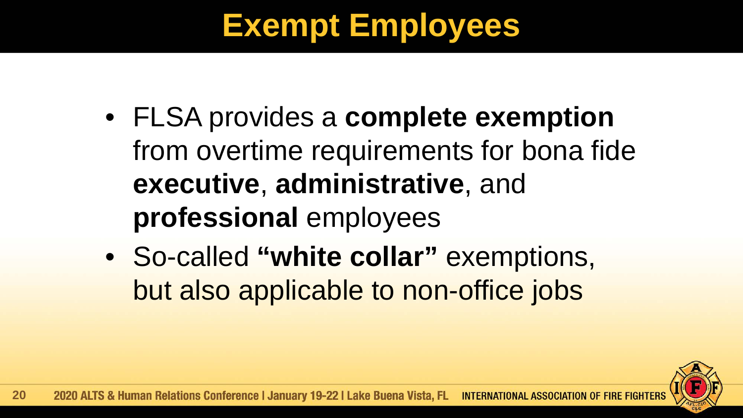- FLSA provides a **complete exemption** from overtime requirements for bona fide **executive**, **administrative**, and **professional** employees
- So-called **"white collar"** exemptions, but also applicable to non-office jobs

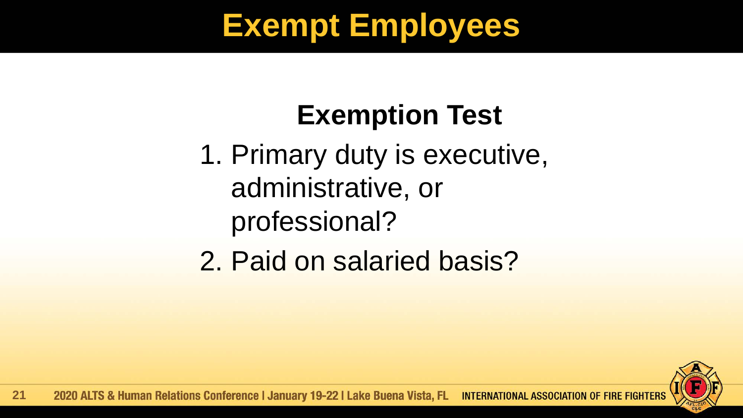### **Exemption Test**

- 1. Primary duty is executive, administrative, or professional?
- 2. Paid on salaried basis?

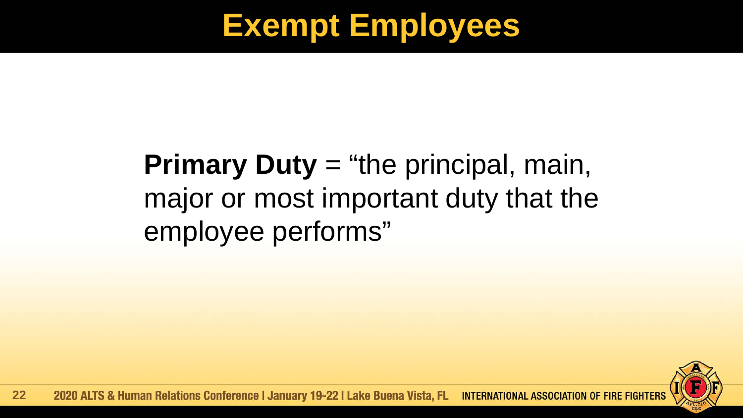#### **Primary Duty** = "the principal, main, major or most important duty that the employee performs"

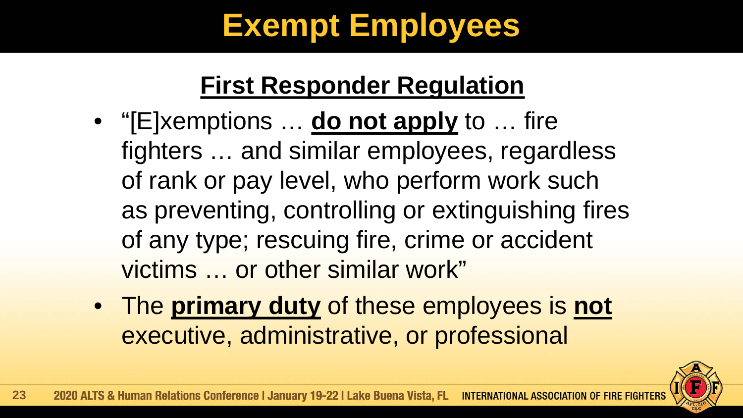#### **First Responder Regulation**

- "[E]xemptions … **do not apply** to … fire fighters … and similar employees, regardless of rank or pay level, who perform work such as preventing, controlling or extinguishing fires of any type; rescuing fire, crime or accident victims … or other similar work"
- The **primary duty** of these employees is **not** executive, administrative, or professional

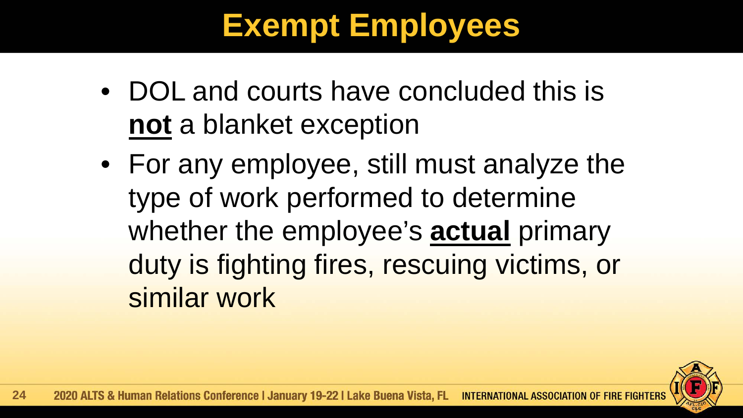- DOL and courts have concluded this is **not** a blanket exception
- For any employee, still must analyze the type of work performed to determine whether the employee's **actual** primary duty is fighting fires, rescuing victims, or similar work

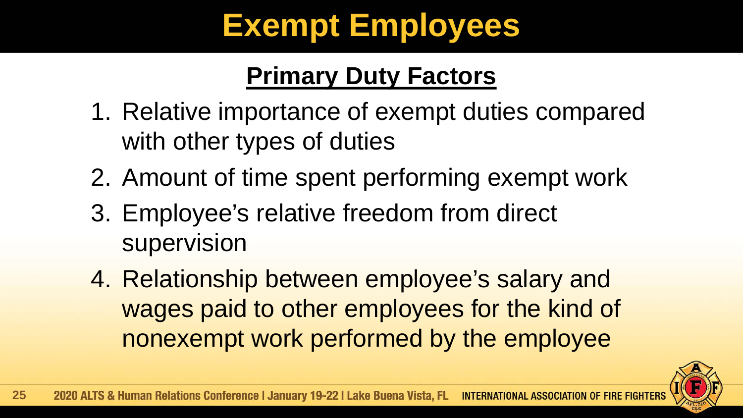#### **Primary Duty Factors**

- 1. Relative importance of exempt duties compared with other types of duties
- 2. Amount of time spent performing exempt work
- 3. Employee's relative freedom from direct supervision
- 4. Relationship between employee's salary and wages paid to other employees for the kind of nonexempt work performed by the employee

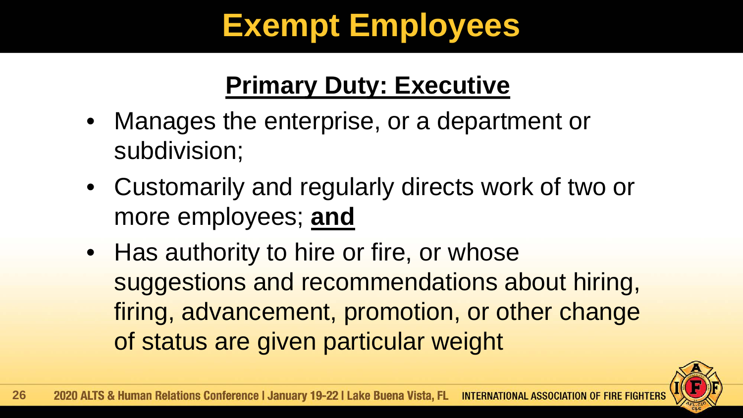#### **Primary Duty: Executive**

- Manages the enterprise, or a department or subdivision;
- Customarily and regularly directs work of two or more employees; **and**
- Has authority to hire or fire, or whose suggestions and recommendations about hiring, firing, advancement, promotion, or other change of status are given particular weight

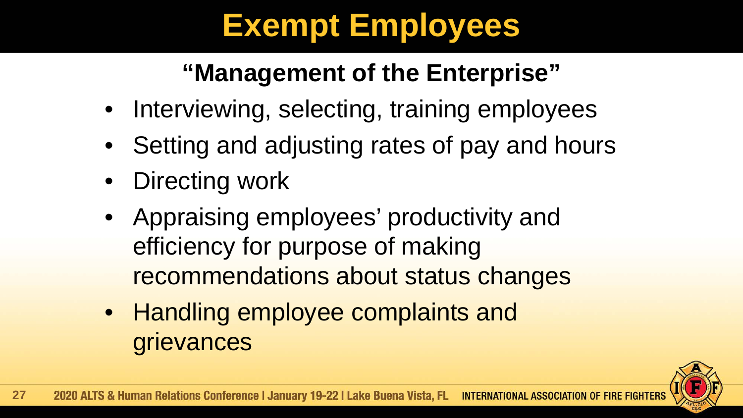#### **"Management of the Enterprise"**

- Interviewing, selecting, training employees
- Setting and adjusting rates of pay and hours
- Directing work
- Appraising employees' productivity and efficiency for purpose of making recommendations about status changes
- Handling employee complaints and grievances

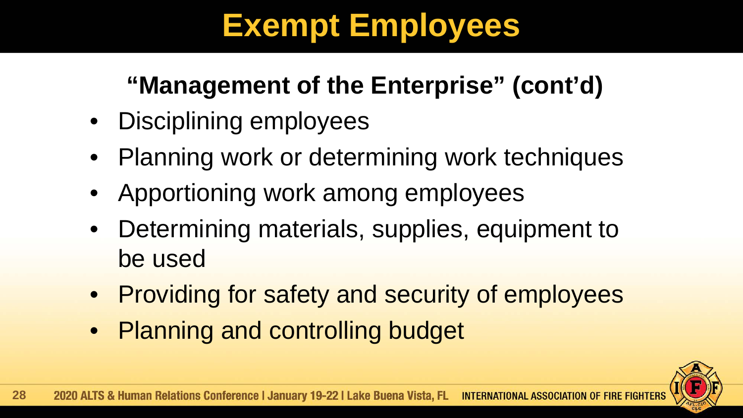#### **"Management of the Enterprise" (cont'd)**

- Disciplining employees
- Planning work or determining work techniques
- Apportioning work among employees
- Determining materials, supplies, equipment to be used
- Providing for safety and security of employees
- Planning and controlling budget

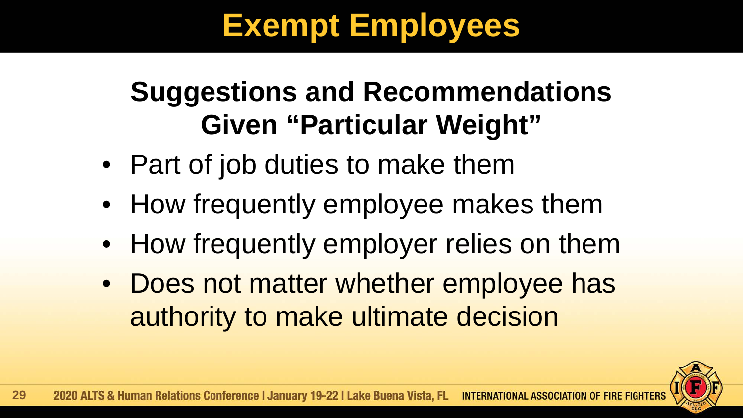#### **Suggestions and Recommendations Given "Particular Weight"**

- Part of job duties to make them
- How frequently employee makes them
- How frequently employer relies on them
- Does not matter whether employee has authority to make ultimate decision

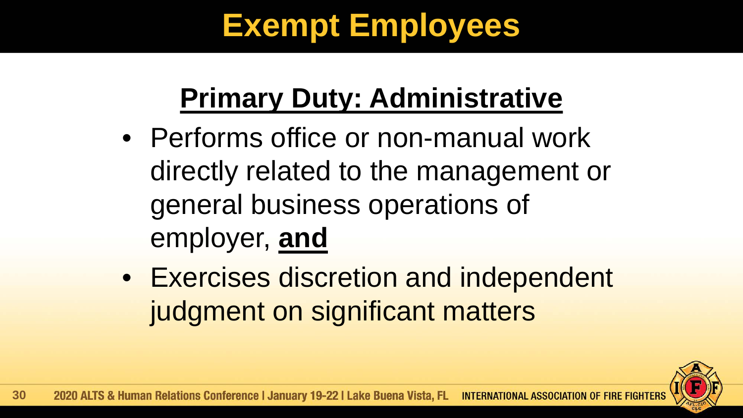# **Primary Duty: Administrative**

- Performs office or non-manual work directly related to the management or general business operations of employer, **and**
- Exercises discretion and independent judgment on significant matters

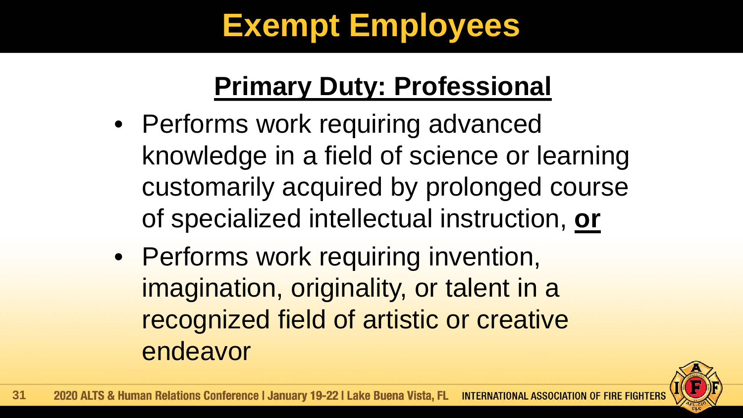#### **Primary Duty: Professional**

- Performs work requiring advanced knowledge in a field of science or learning customarily acquired by prolonged course of specialized intellectual instruction, **or**
- Performs work requiring invention, imagination, originality, or talent in a recognized field of artistic or creative endeavor

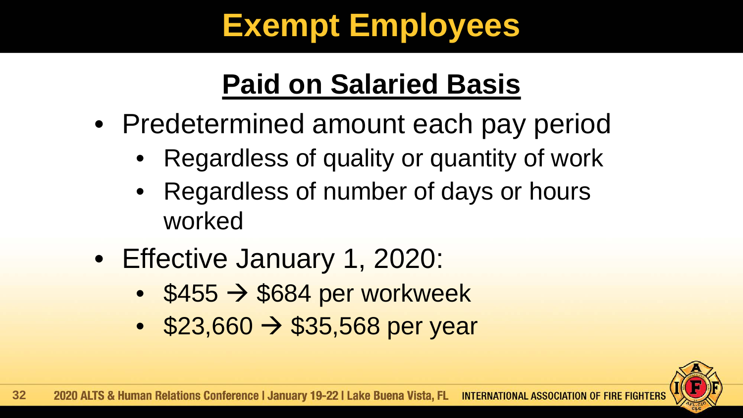# **Paid on Salaried Basis**

- Predetermined amount each pay period
	- Regardless of quality or quantity of work
	- Regardless of number of days or hours worked
- Effective January 1, 2020:
	- $\cdot$  \$455  $\rightarrow$  \$684 per workweek
	- $$23,660 \rightarrow $35,568$  per year

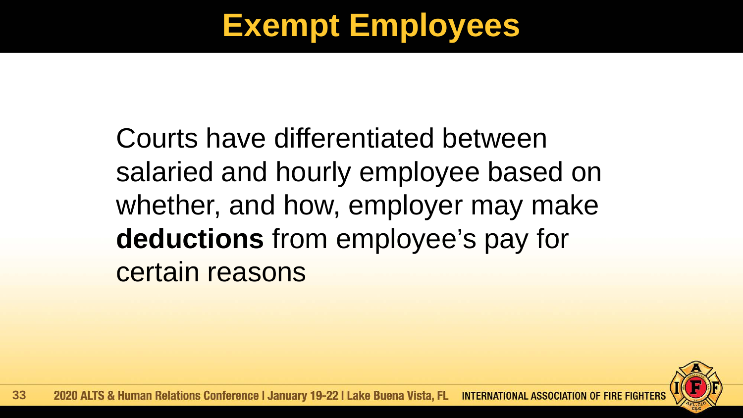Courts have differentiated between salaried and hourly employee based on whether, and how, employer may make **deductions** from employee's pay for certain reasons

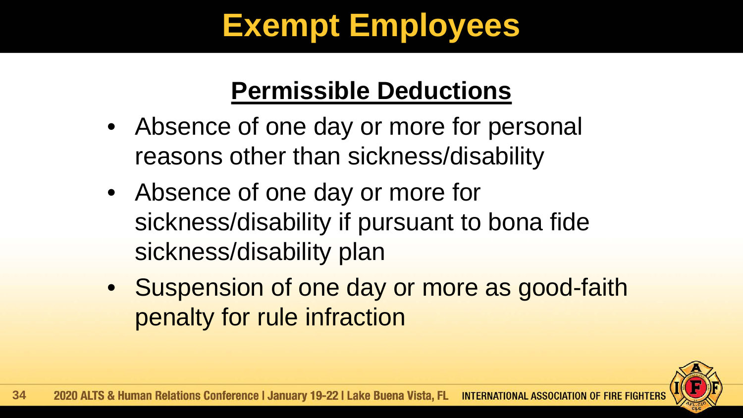#### **Permissible Deductions**

- Absence of one day or more for personal reasons other than sickness/disability
- Absence of one day or more for sickness/disability if pursuant to bona fide sickness/disability plan
- Suspension of one day or more as good-faith penalty for rule infraction

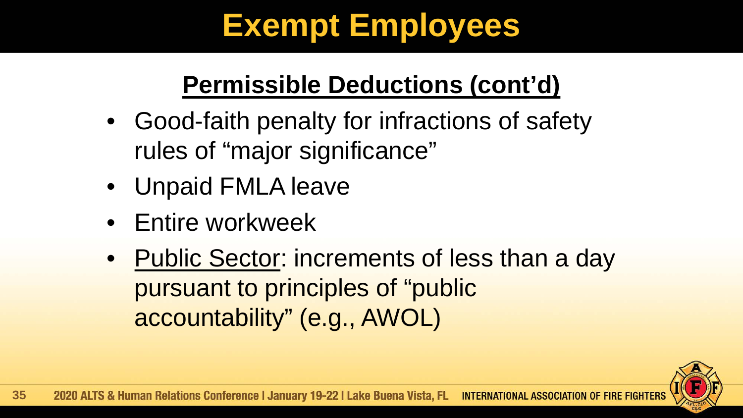#### **Permissible Deductions (cont'd)**

- Good-faith penalty for infractions of safety rules of "major significance"
- Unpaid FMLA leave
- Entire workweek
- Public Sector: increments of less than a day pursuant to principles of "public accountability" (e.g., AWOL)

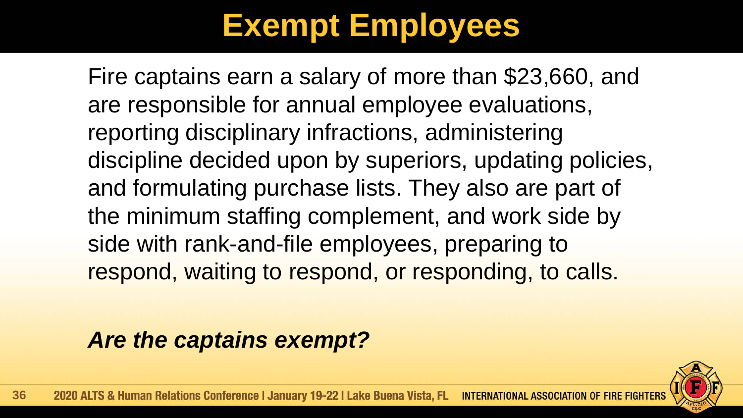Fire captains earn a salary of more than \$23,660, and are responsible for annual employee evaluations, reporting disciplinary infractions, administering discipline decided upon by superiors, updating policies, and formulating purchase lists. They also are part of the minimum staffing complement, and work side by side with rank-and-file employees, preparing to respond, waiting to respond, or responding, to calls.

*Are the captains exempt?*

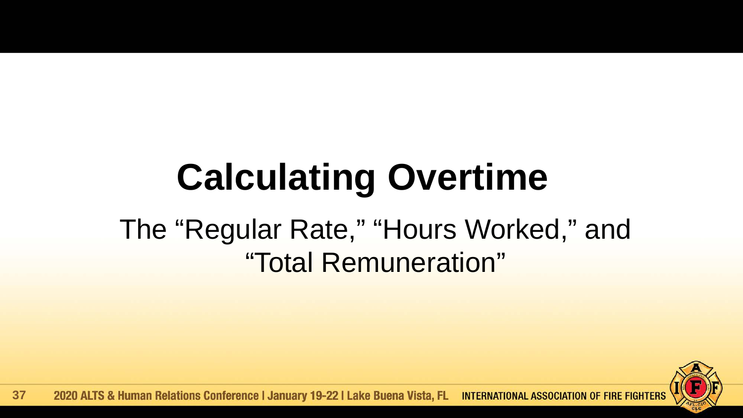# **Calculating Overtime**

#### The "Regular Rate," "Hours Worked," and "Total Remuneration"

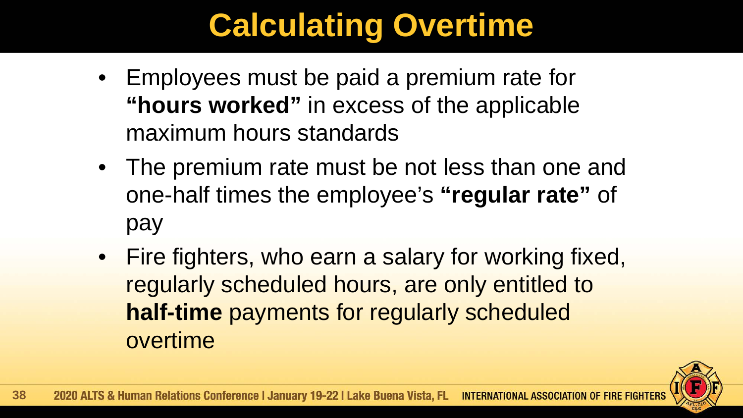# **Calculating Overtime**

- Employees must be paid a premium rate for **"hours worked"** in excess of the applicable maximum hours standards
- The premium rate must be not less than one and one-half times the employee's **"regular rate"** of pay
- Fire fighters, who earn a salary for working fixed, regularly scheduled hours, are only entitled to **half-time** payments for regularly scheduled overtime

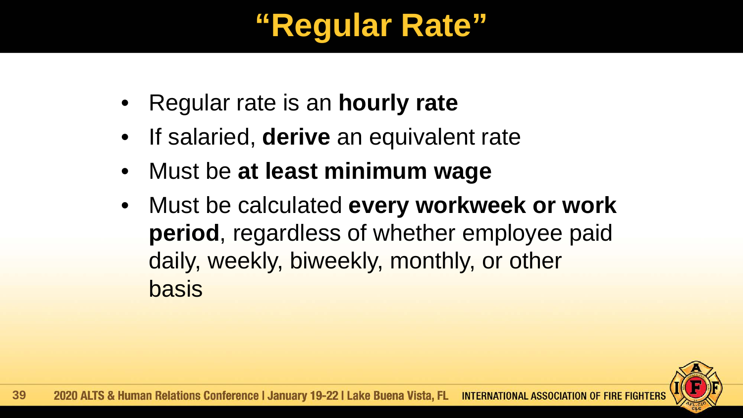# **"Regular Rate"**

- Regular rate is an **hourly rate**
- If salaried, **derive** an equivalent rate
- Must be **at least minimum wage**
- Must be calculated **every workweek or work period**, regardless of whether employee paid daily, weekly, biweekly, monthly, or other basis

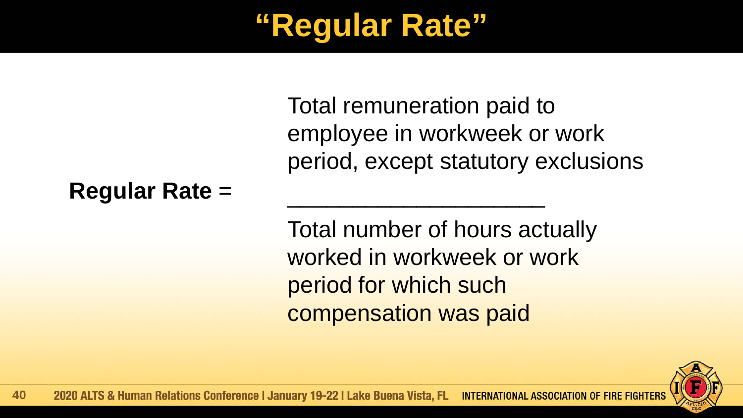# **"Regular Rate"**

Total remuneration paid to employee in workweek or work period, except statutory exclusions

#### **Regular Rate** =

Total number of hours actually worked in workweek or work period for which such compensation was paid

 $\mathcal{L}_\text{max}$  , which is a set of the set of the set of the set of the set of the set of the set of the set of the set of the set of the set of the set of the set of the set of the set of the set of the set of the set of

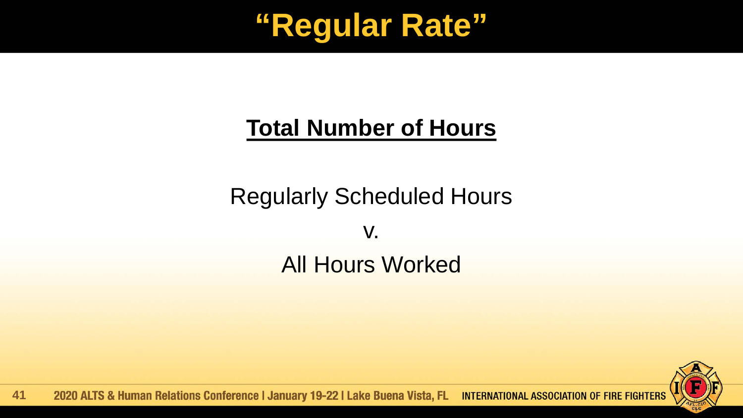

#### **Total Number of Hours**

Regularly Scheduled Hours v. All Hours Worked



2020 ALTS & Human Relations Conference | January 19-22 | Lake Buena Vista, FL INTERNATIONAL ASSOCIATION OF FIRE FIGHTERS **41**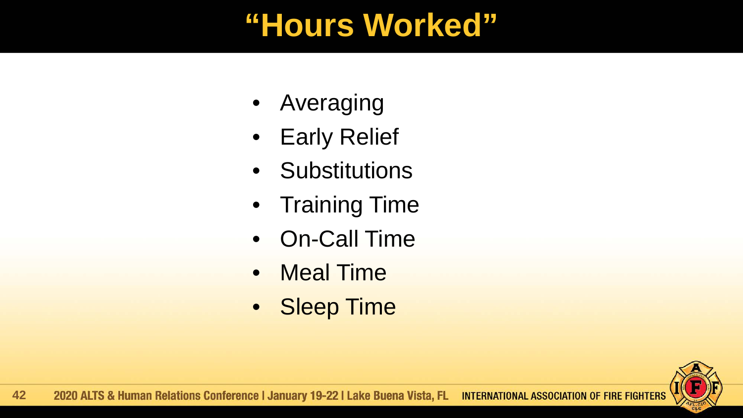### **"Hours Worked"**

- Averaging
- Early Relief
- Substitutions
- Training Time
- On-Call Time
- Meal Time
- Sleep Time

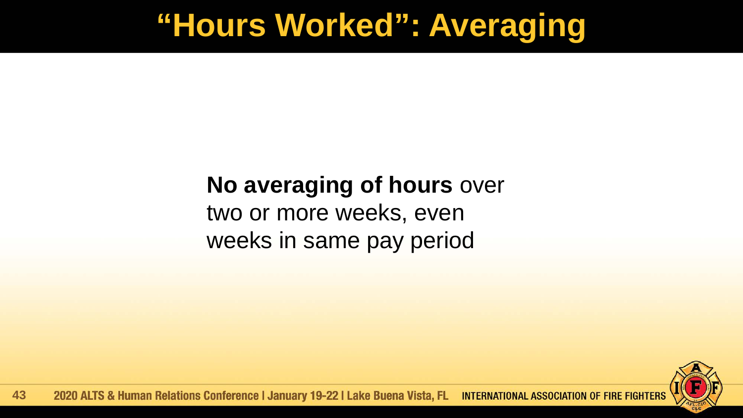### **"Hours Worked": Averaging**

#### **No averaging of hours** over

two or more weeks, even weeks in same pay period

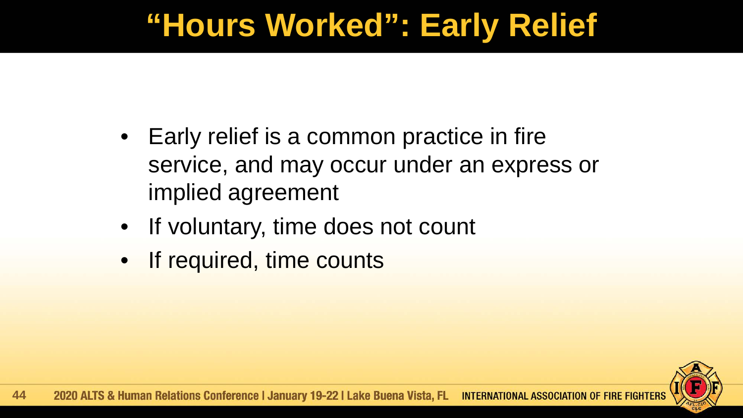# **"Hours Worked": Early Relief**

- Early relief is a common practice in fire service, and may occur under an express or implied agreement
- If voluntary, time does not count
- If required, time counts

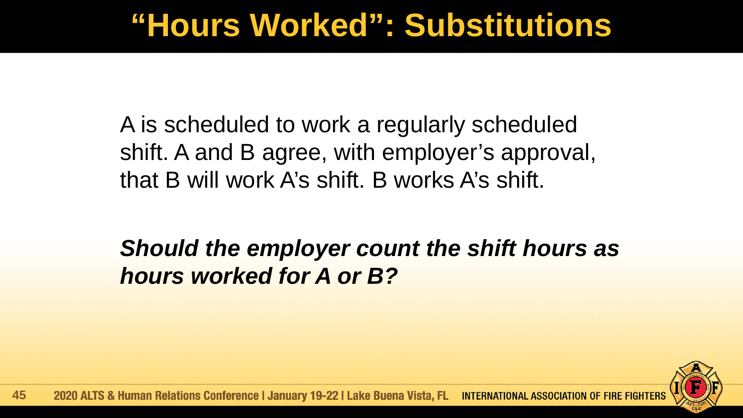### **"Hours Worked": Substitutions**

A is scheduled to work a regularly scheduled shift. A and B agree, with employer's approval, that B will work A's shift. B works A's shift.

*Should the employer count the shift hours as hours worked for A or B?*

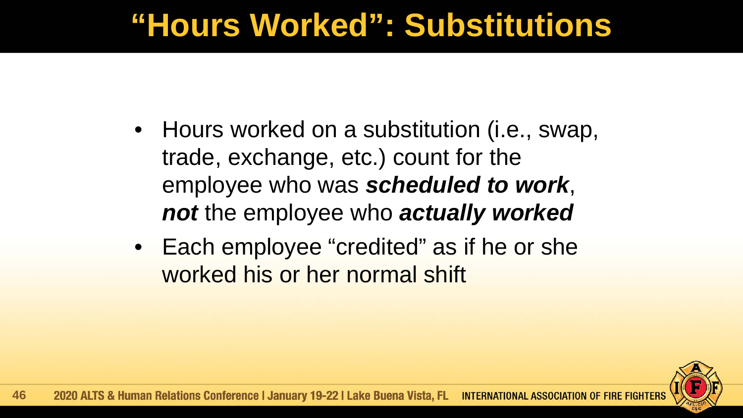### **"Hours Worked": Substitutions**

- Hours worked on a substitution (i.e., swap, trade, exchange, etc.) count for the employee who was *scheduled to work*, *not* the employee who *actually worked*
- Each employee "credited" as if he or she worked his or her normal shift

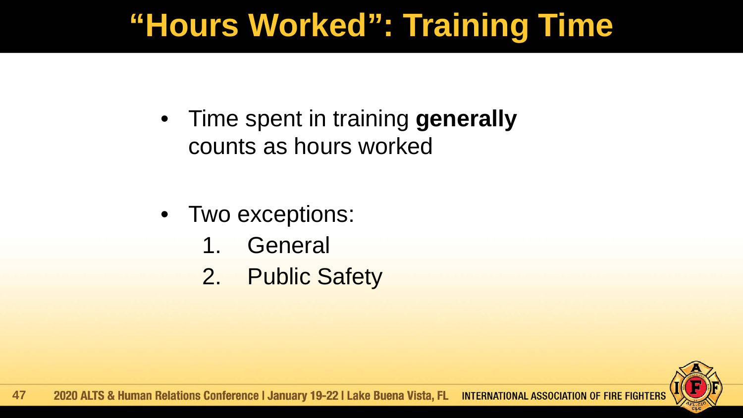# **"Hours Worked": Training Time**

• Time spent in training **generally** counts as hours worked

- Two exceptions:
	- 1. General
	- 2. Public Safety

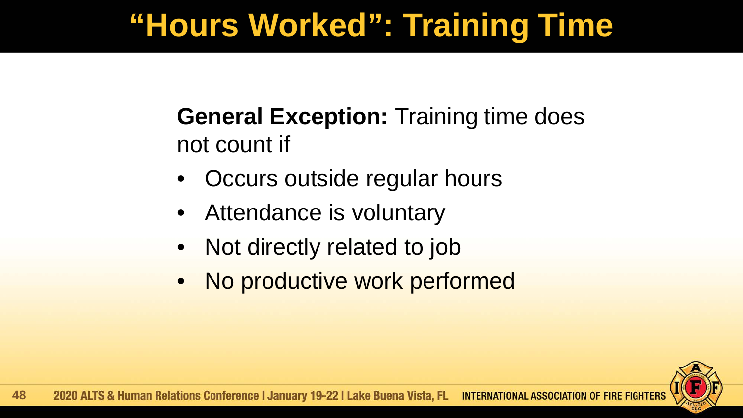# **"Hours Worked": Training Time**

#### **General Exception:** Training time does not count if

- Occurs outside regular hours
- Attendance is voluntary
- Not directly related to job
- No productive work performed

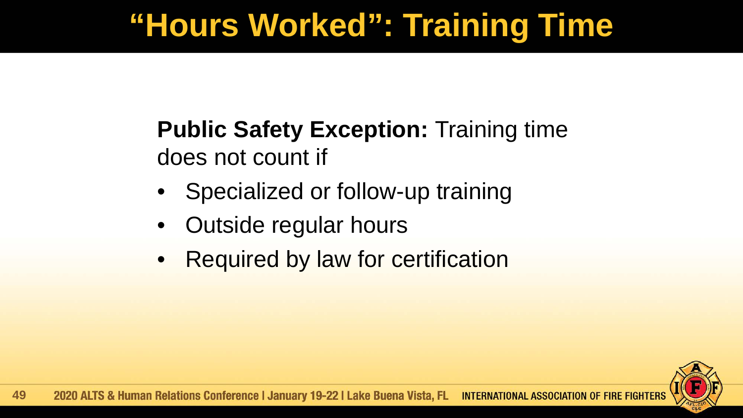# **"Hours Worked": Training Time**

#### **Public Safety Exception: Training time** does not count if

- Specialized or follow-up training
- Outside regular hours
- **Required by law for certification**

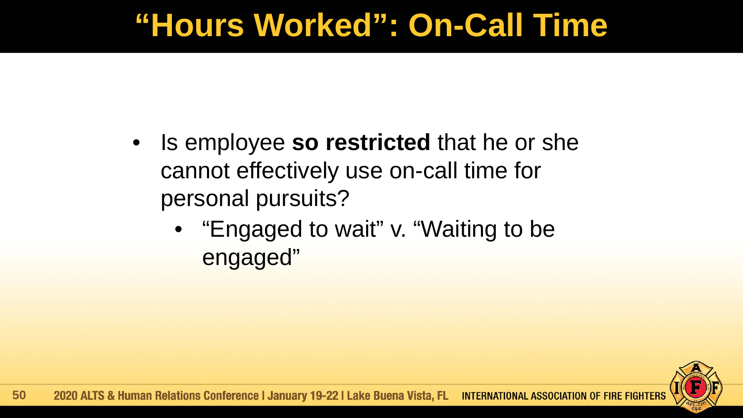### **"Hours Worked": On-Call Time**

- Is employee **so restricted** that he or she cannot effectively use on-call time for personal pursuits?
	- "Engaged to wait" v. "Waiting to be engaged"

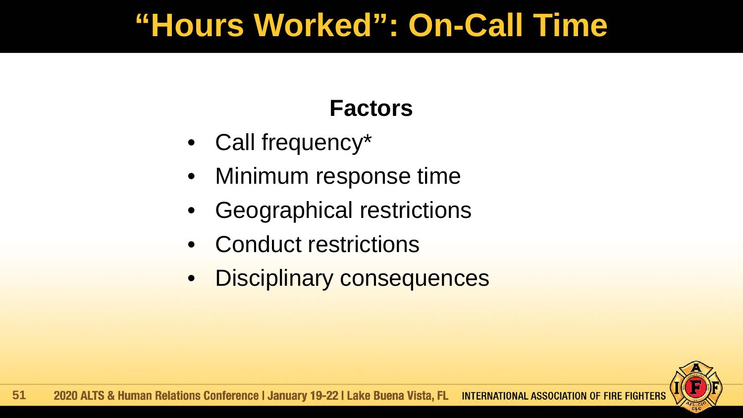### **"Hours Worked": On-Call Time**

#### **Factors**

- Call frequency\*
- Minimum response time
- Geographical restrictions
- Conduct restrictions
- Disciplinary consequences

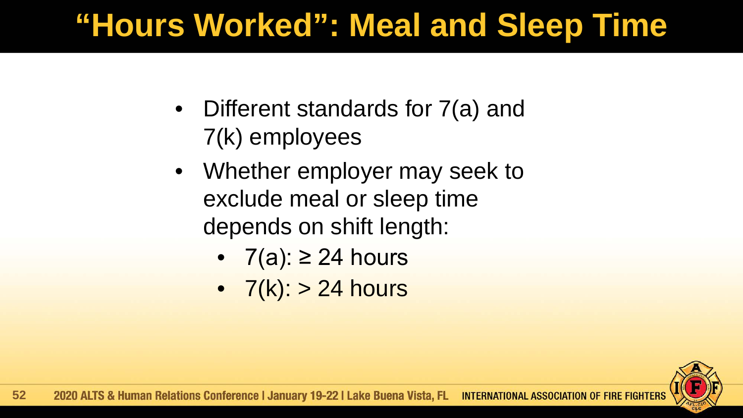# **"Hours Worked": Meal and Sleep Time**

- Different standards for 7(a) and 7(k) employees
- Whether employer may seek to exclude meal or sleep time depends on shift length:
	- $7(a): \geq 24$  hours
	- $7(k)$ :  $> 24$  hours

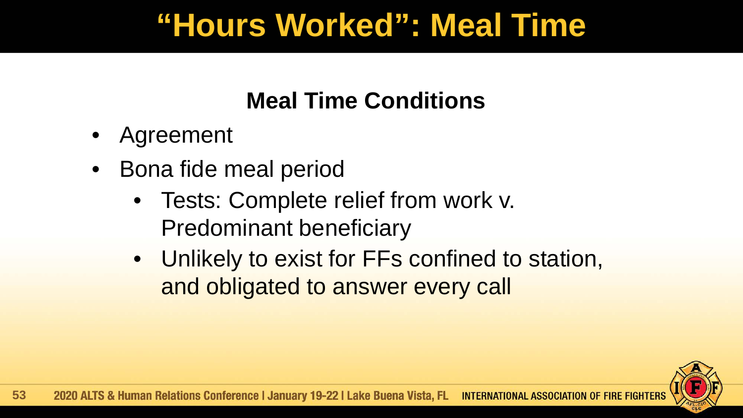### **"Hours Worked": Meal Time**

#### **Meal Time Conditions**

- Agreement
- Bona fide meal period
	- Tests: Complete relief from work v. Predominant beneficiary
	- Unlikely to exist for FFs confined to station, and obligated to answer every call

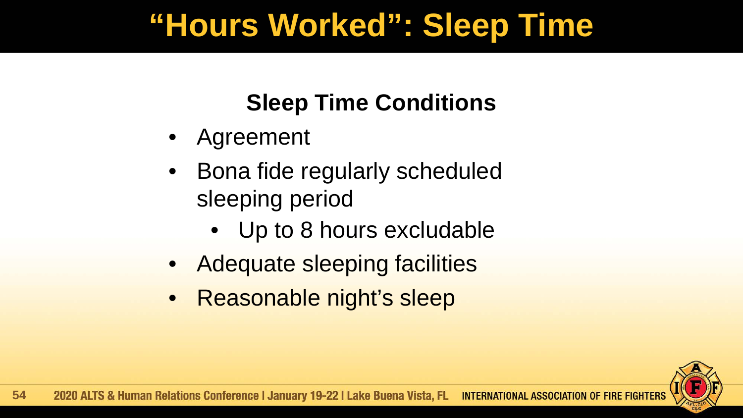### **"Hours Worked": Sleep Time**

#### **Sleep Time Conditions**

- Agreement
- Bona fide regularly scheduled sleeping period
	- Up to 8 hours excludable
- Adequate sleeping facilities
- Reasonable night's sleep

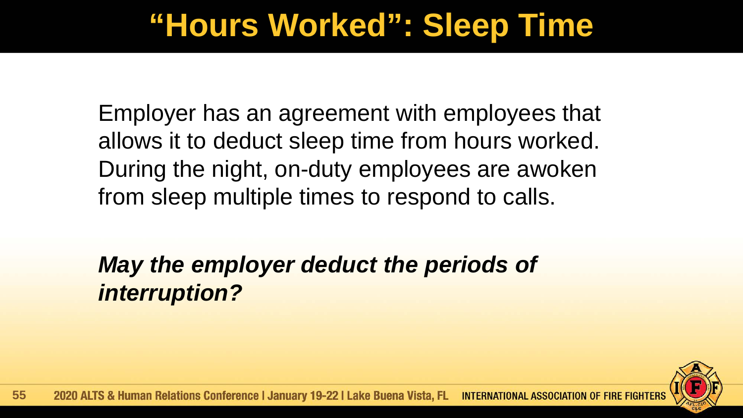### **"Hours Worked": Sleep Time**

Employer has an agreement with employees that allows it to deduct sleep time from hours worked. During the night, on-duty employees are awoken from sleep multiple times to respond to calls.

*May the employer deduct the periods of interruption?*

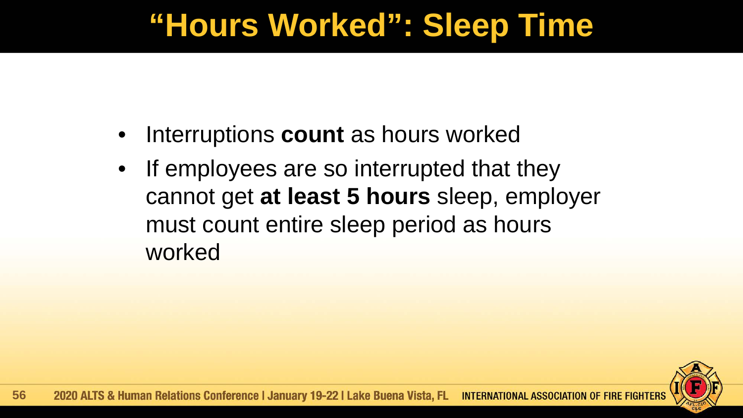### **"Hours Worked": Sleep Time**

- Interruptions **count** as hours worked
- If employees are so interrupted that they cannot get **at least 5 hours** sleep, employer must count entire sleep period as hours worked

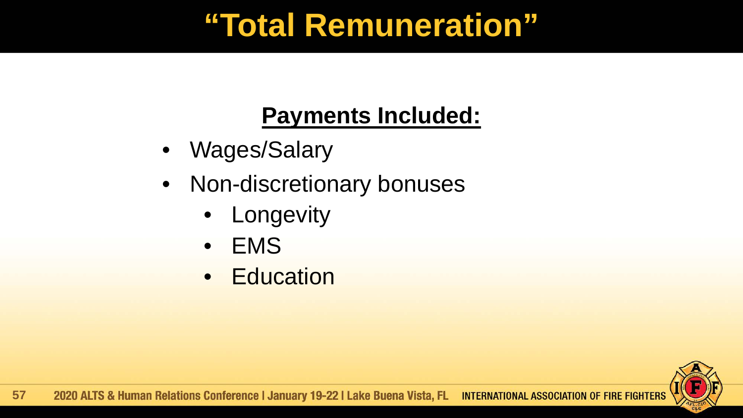## **"Total Remuneration"**

#### **Payments Included:**

- Wages/Salary
- Non-discretionary bonuses
	- **Longevity**
	- EMS
	- Education

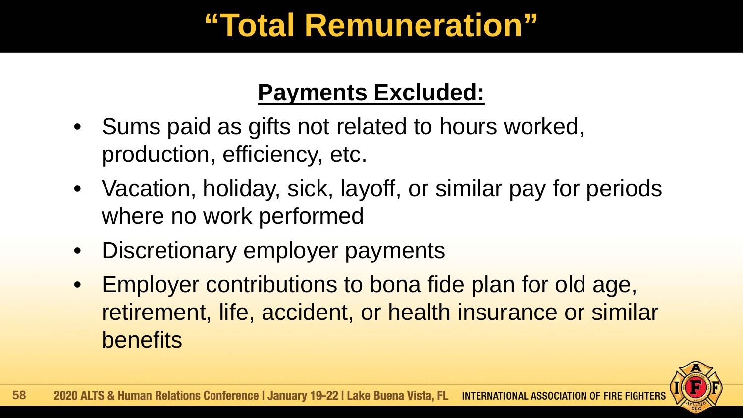# **"Total Remuneration"**

#### **Payments Excluded:**

- Sums paid as gifts not related to hours worked, production, efficiency, etc.
- Vacation, holiday, sick, layoff, or similar pay for periods where no work performed
- Discretionary employer payments
- Employer contributions to bona fide plan for old age, retirement, life, accident, or health insurance or similar benefits

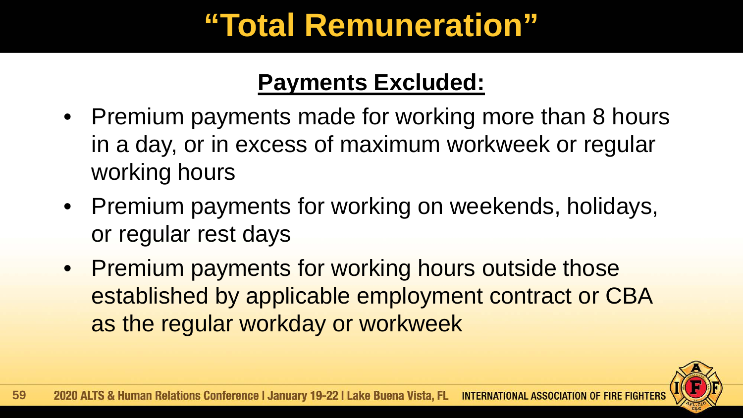# **"Total Remuneration"**

#### **Payments Excluded:**

- Premium payments made for working more than 8 hours in a day, or in excess of maximum workweek or regular working hours
- Premium payments for working on weekends, holidays, or regular rest days
- Premium payments for working hours outside those established by applicable employment contract or CBA as the regular workday or workweek

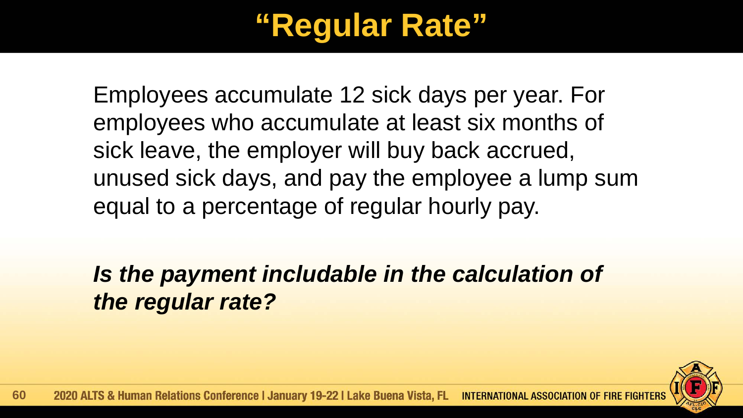# **"Regular Rate"**

Employees accumulate 12 sick days per year. For employees who accumulate at least six months of sick leave, the employer will buy back accrued, unused sick days, and pay the employee a lump sum equal to a percentage of regular hourly pay.

*Is the payment includable in the calculation of the regular rate?*

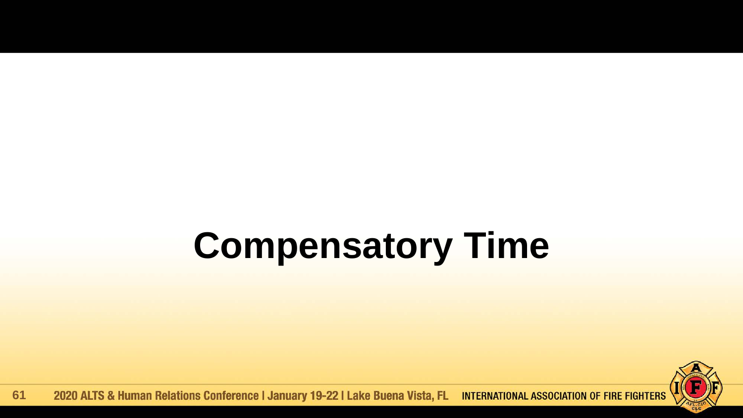# **Compensatory Time**



2020 ALTS & Human Relations Conference | January 19-22 | Lake Buena Vista, FL INTERNATIONAL ASSOCIATION OF FIRE FIGHTERS **61**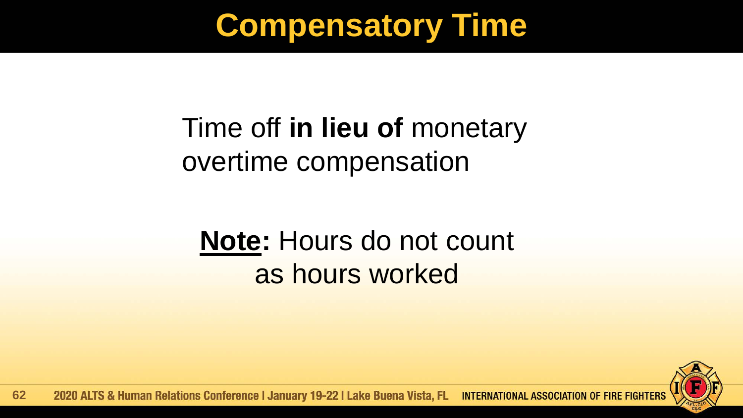# **Compensatory Time**

### Time off **in lieu of** monetary overtime compensation

### **Note:** Hours do not count as hours worked



2020 ALTS & Human Relations Conference | January 19-22 | Lake Buena Vista, FL INTERNATIONAL ASSOCIATION OF FIRE FIGHTERS **62**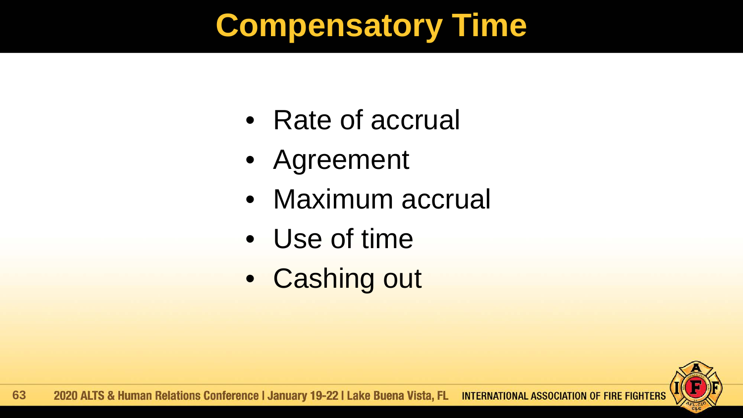# **Compensatory Time**

- Rate of accrual
- Agreement
- Maximum accrual
- Use of time
- Cashing out

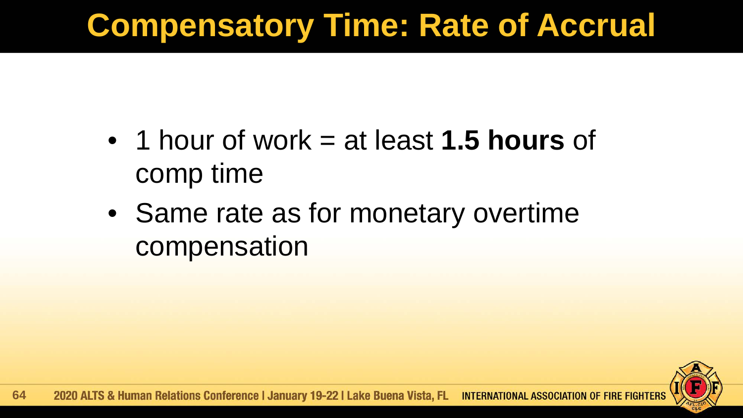# **Compensatory Time: Rate of Accrual**

- 1 hour of work = at least **1.5 hours** of comp time
- Same rate as for monetary overtime compensation

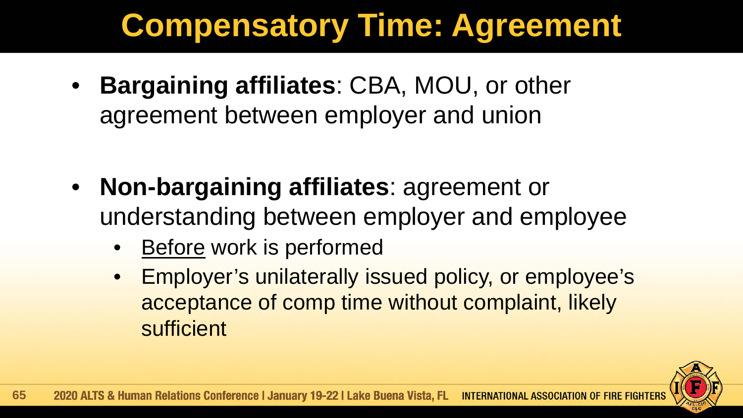# **Compensatory Time: Agreement**

• **Bargaining affiliates**: CBA, MOU, or other agreement between employer and union

- **Non-bargaining affiliates**: agreement or understanding between employer and employee
	- Before work is performed
	- Employer's unilaterally issued policy, or employee's acceptance of comp time without complaint, likely sufficient

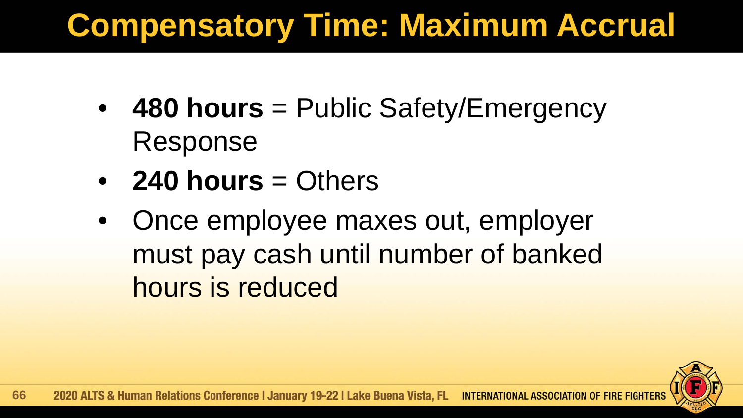# **Compensatory Time: Maximum Accrual**

- 480 hours = Public Safety/Emergency Response
- **240 hours** = Others
- Once employee maxes out, employer must pay cash until number of banked hours is reduced

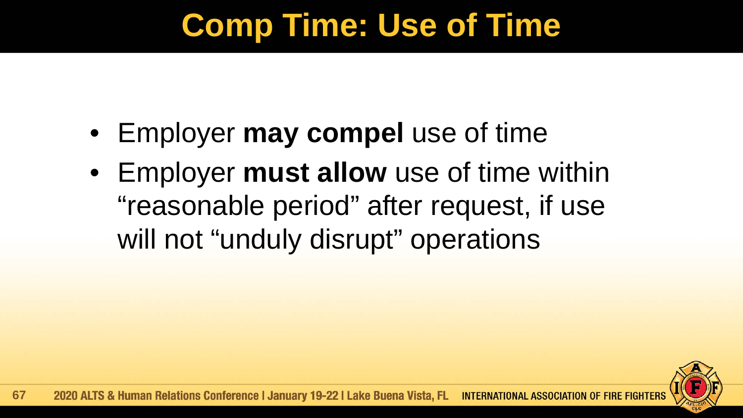# **Comp Time: Use of Time**

- Employer **may compel** use of time
- Employer **must allow** use of time within "reasonable period" after request, if use will not "unduly disrupt" operations

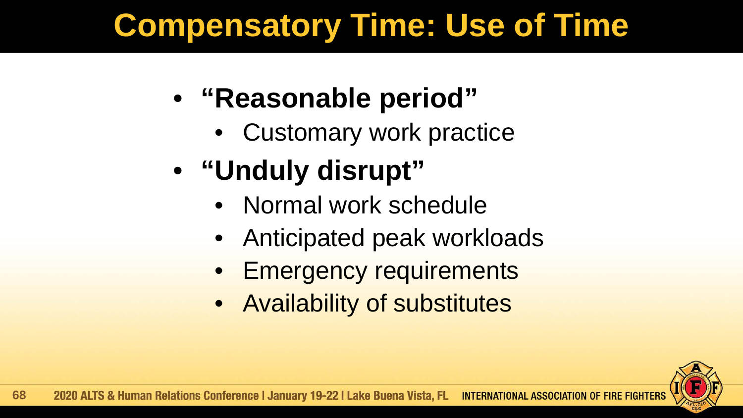# **Compensatory Time: Use of Time**

### • **"Reasonable period"**

• Customary work practice

# • **"Unduly disrupt"**

- Normal work schedule
- Anticipated peak workloads
- **Emergency requirements**
- Availability of substitutes

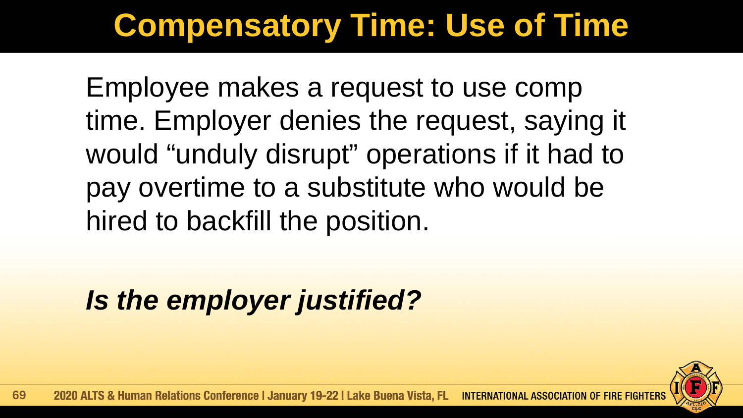# **Compensatory Time: Use of Time**

Employee makes a request to use comp time. Employer denies the request, saying it would "unduly disrupt" operations if it had to pay overtime to a substitute who would be hired to backfill the position.

*Is the employer justified?*

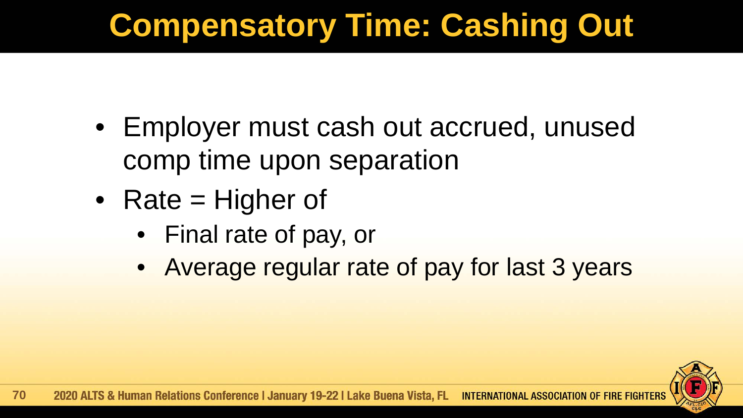# **Compensatory Time: Cashing Out**

- Employer must cash out accrued, unused comp time upon separation
- Rate = Higher of
	- Final rate of pay, or
	- Average regular rate of pay for last 3 years

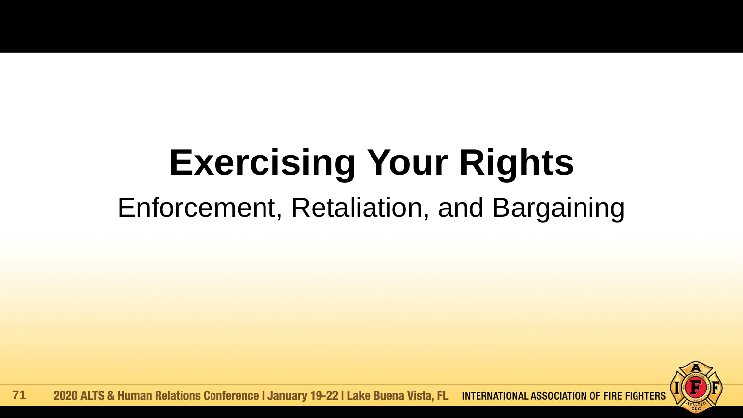# **Exercising Your Rights** Enforcement, Retaliation, and Bargaining



**INTERNATIONAL ASSOCIATION OF FIRE FIGHTERS** 2020 ALTS & Human Relations Conference | January 19-22 | Lake Buena Vista, FL **71**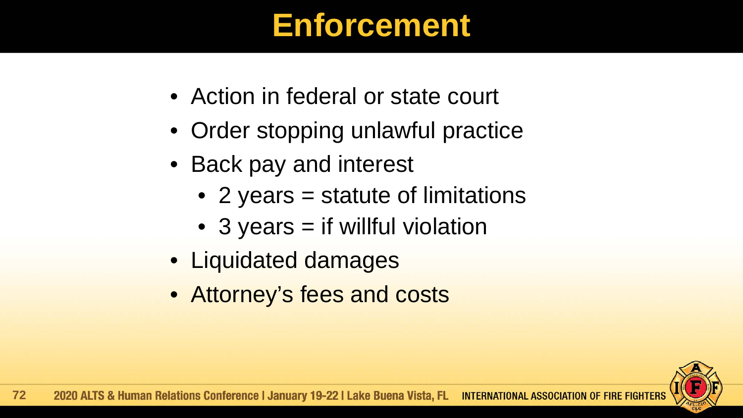### **Enforcement**

- Action in federal or state court
- Order stopping unlawful practice
- Back pay and interest
	- 2 years = statute of limitations
	- 3 years = if willful violation
- Liquidated damages
- Attorney's fees and costs

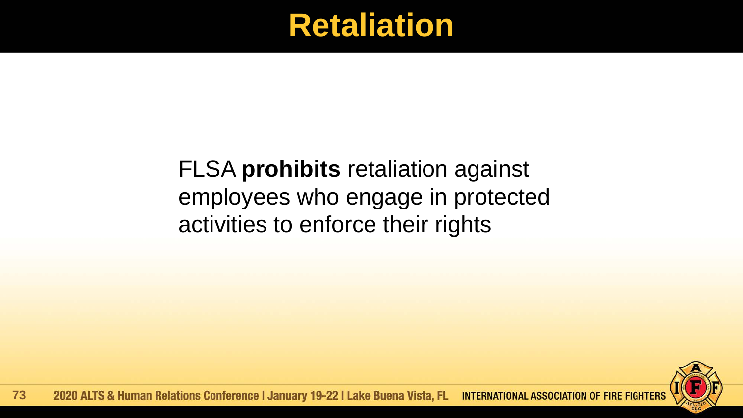### **Retaliation**

#### FLSA **prohibits** retaliation against employees who engage in protected activities to enforce their rights

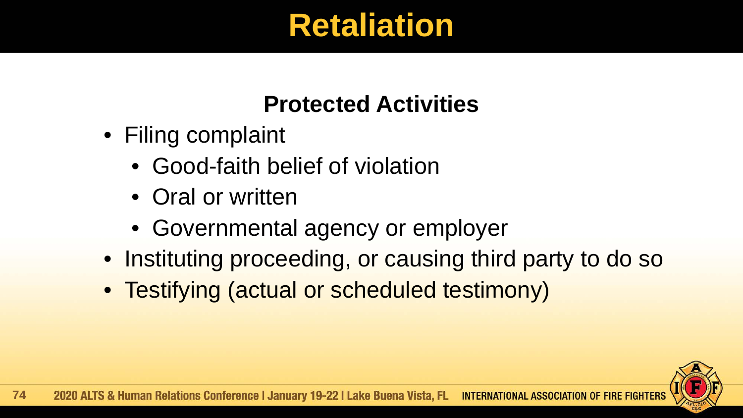## **Retaliation**

#### **Protected Activities**

- Filing complaint
	- Good-faith belief of violation
	- Oral or written
	- Governmental agency or employer
- Instituting proceeding, or causing third party to do so
- Testifying (actual or scheduled testimony)

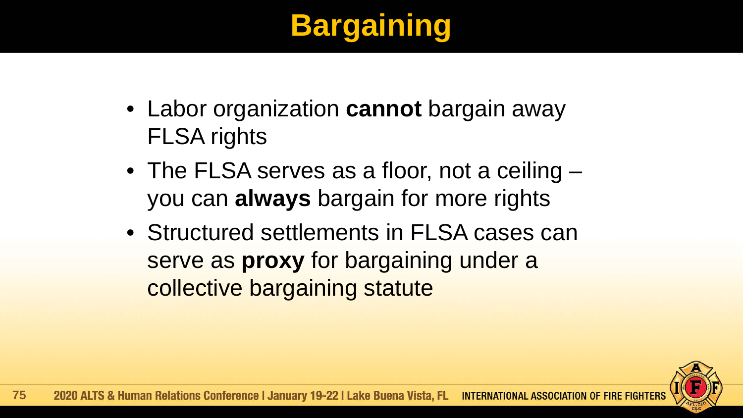## **Bargaining**

- Labor organization **cannot** bargain away FLSA rights
- The FLSA serves as a floor, not a ceiling you can **always** bargain for more rights
- Structured settlements in FLSA cases can serve as **proxy** for bargaining under a collective bargaining statute

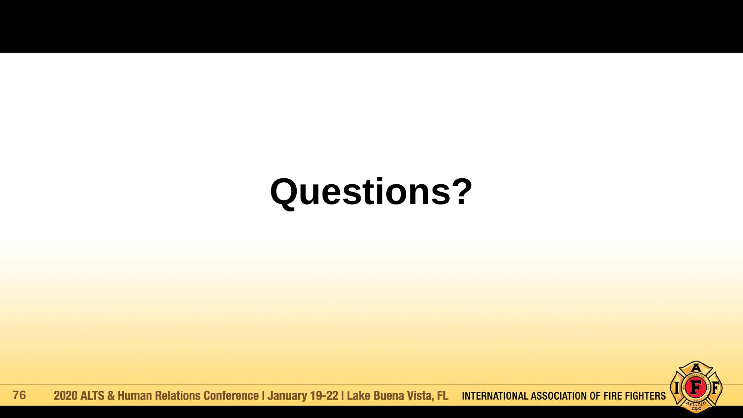# **Questions?**



2020 ALTS & Human Relations Conference | January 19-22 | Lake Buena Vista, FL **INTERNATIONAL ASSOCIATION OF FIRE FIGHTERS 76**